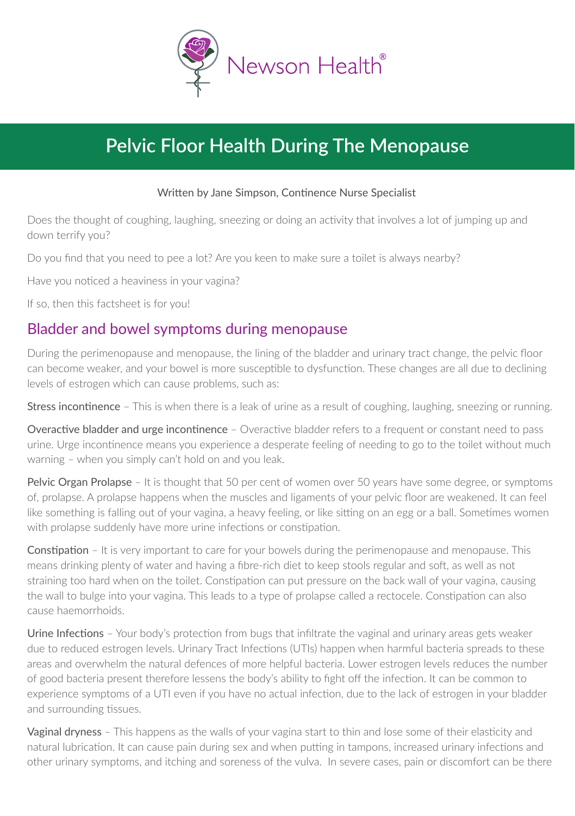

# **Pelvic Floor Health During The Menopause**

#### Written by Jane Simpson, Continence Nurse Specialist

Does the thought of coughing, laughing, sneezing or doing an activity that involves a lot of jumping up and down terrify you?

Do you find that you need to pee a lot? Are you keen to make sure a toilet is always nearby?

Have you noticed a heaviness in your vagina?

If so, then this factsheet is for you!

#### Bladder and bowel symptoms during menopause

During the perimenopause and menopause, the lining of the bladder and urinary tract change, the pelvic floor can become weaker, and your bowel is more susceptible to dysfunction. These changes are all due to declining levels of estrogen which can cause problems, such as:

Stress incontinence – This is when there is a leak of urine as a result of coughing, laughing, sneezing or running.

Overactive bladder and urge incontinence – Overactive bladder refers to a frequent or constant need to pass urine. Urge incontinence means you experience a desperate feeling of needing to go to the toilet without much warning – when you simply can't hold on and you leak.

Pelvic Organ Prolapse - It is thought that 50 per cent of women over 50 years have some degree, or symptoms of, prolapse. A prolapse happens when the muscles and ligaments of your pelvic floor are weakened. It can feel like something is falling out of your vagina, a heavy feeling, or like sitting on an egg or a ball. Sometimes women with prolapse suddenly have more urine infections or constipation.

Constipation – It is very important to care for your bowels during the perimenopause and menopause. This means drinking plenty of water and having a fibre-rich diet to keep stools regular and soft, as well as not straining too hard when on the toilet. Constipation can put pressure on the back wall of your vagina, causing the wall to bulge into your vagina. This leads to a type of prolapse called a rectocele. Constipation can also cause haemorrhoids.

Urine Infections - Your body's protection from bugs that infiltrate the vaginal and urinary areas gets weaker due to reduced estrogen levels. Urinary Tract Infections (UTIs) happen when harmful bacteria spreads to these areas and overwhelm the natural defences of more helpful bacteria. Lower estrogen levels reduces the number of good bacteria present therefore lessens the body's ability to fight off the infection. It can be common to experience symptoms of a UTI even if you have no actual infection, due to the lack of estrogen in your bladder and surrounding tissues.

Vaginal dryness – This happens as the walls of your vagina start to thin and lose some of their elasticity and natural lubrication. It can cause pain during sex and when putting in tampons, increased urinary infections and other urinary symptoms, and itching and soreness of the vulva. In severe cases, pain or discomfort can be there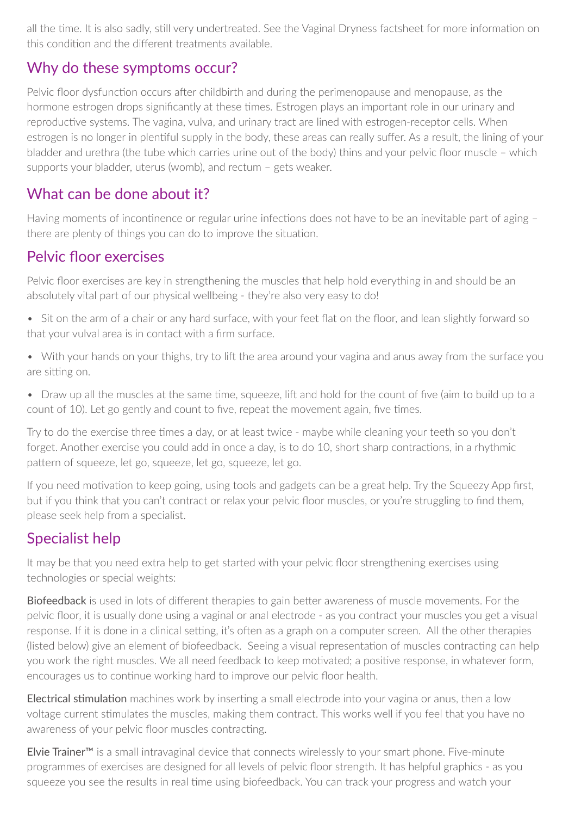all the time. It is also sadly, still very undertreated. See the Vaginal Dryness factsheet for more information on this condition and the different treatments available.

#### Why do these symptoms occur?

Pelvic floor dysfunction occurs after childbirth and during the perimenopause and menopause, as the hormone estrogen drops significantly at these times. Estrogen plays an important role in our urinary and reproductive systems. The vagina, vulva, and urinary tract are lined with estrogen-receptor cells. When estrogen is no longer in plentiful supply in the body, these areas can really suffer. As a result, the lining of your bladder and urethra (the tube which carries urine out of the body) thins and your pelvic floor muscle – which supports your bladder, uterus (womb), and rectum – gets weaker.

#### What can be done about it?

Having moments of incontinence or regular urine infections does not have to be an inevitable part of aging – there are plenty of things you can do to improve the situation.

#### Pelvic floor exercises

Pelvic floor exercises are key in strengthening the muscles that help hold everything in and should be an absolutely vital part of our physical wellbeing - they're also very easy to do!

- Sit on the arm of a chair or any hard surface, with your feet flat on the floor, and lean slightly forward so that your vulval area is in contact with a firm surface.
- With your hands on your thighs, try to lift the area around your vagina and anus away from the surface you are sitting on.
- Draw up all the muscles at the same time, squeeze, lift and hold for the count of five (aim to build up to a count of 10). Let go gently and count to five, repeat the movement again, five times.

Try to do the exercise three times a day, or at least twice - maybe while cleaning your teeth so you don't forget. Another exercise you could add in once a day, is to do 10, short sharp contractions, in a rhythmic pattern of squeeze, let go, squeeze, let go, squeeze, let go.

If you need motivation to keep going, using tools and gadgets can be a great help. Try the Squeezy App first, but if you think that you can't contract or relax your pelvic floor muscles, or you're struggling to find them, please seek help from a specialist.

#### Specialist help

It may be that you need extra help to get started with your pelvic floor strengthening exercises using technologies or special weights:

Biofeedback is used in lots of different therapies to gain better awareness of muscle movements. For the pelvic floor, it is usually done using a vaginal or anal electrode - as you contract your muscles you get a visual response. If it is done in a clinical setting, it's often as a graph on a computer screen. All the other therapies (listed below) give an element of biofeedback. Seeing a visual representation of muscles contracting can help you work the right muscles. We all need feedback to keep motivated; a positive response, in whatever form, encourages us to continue working hard to improve our pelvic floor health.

Electrical stimulation machines work by inserting a small electrode into your vagina or anus, then a low voltage current stimulates the muscles, making them contract. This works well if you feel that you have no awareness of your pelvic floor muscles contracting.

Elvie Trainer™ is a small intravaginal device that connects wirelessly to your smart phone. Fiveminute programmes of exercises are designed for all levels of pelvic floor strength. It has helpful graphics as you squeeze you see the results in real time using biofeedback. You can track your progress and watch your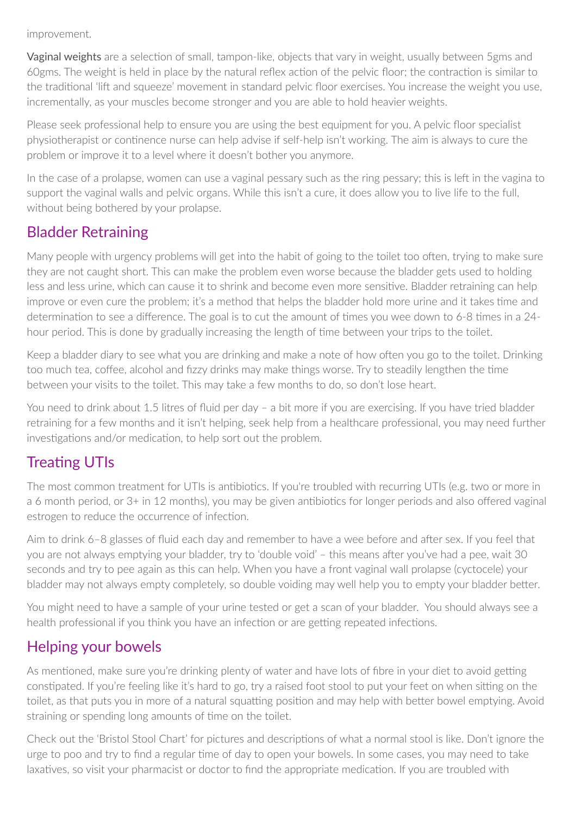improvement.

Vaginal weights are a selection of small, tampon-like, objects that vary in weight, usually between 5gms and 60gms. The weight is held in place by the natural reflex action of the pelvic floor; the contraction is similar to the traditional 'lift and squeeze' movement in standard pelvic floor exercises. You increase the weight you use, incrementally, as your muscles become stronger and you are able to hold heavier weights.

Please seek professional help to ensure you are using the best equipment for you. A pelvic floor specialist physiotherapist or continence nurse can help advise if self-help isn't working. The aim is always to cure the problem or improve it to a level where it doesn't bother you anymore.

In the case of a prolapse, women can use a vaginal pessary such as the ring pessary; this is left in the vagina to support the vaginal walls and pelvic organs. While this isn't a cure, it does allow you to live life to the full, without being bothered by your prolapse.

#### Bladder Retraining

Many people with urgency problems will get into the habit of going to the toilet too often, trying to make sure they are not caught short. This can make the problem even worse because the bladder gets used to holding less and less urine, which can cause it to shrink and become even more sensitive. Bladder retraining can help improve or even cure the problem; it's a method that helps the bladder hold more urine and it takes time and determination to see a difference. The goal is to cut the amount of times you wee down to  $6-8$  times in a  $24$ hour period. This is done by gradually increasing the length of time between your trips to the toilet.

Keep a bladder diary to see what you are drinking and make a note of how often you go to the toilet. Drinking too much tea, coffee, alcohol and fizzy drinks may make things worse. Try to steadily lengthen the time between your visits to the toilet. This may take a few months to do, so don't lose heart.

You need to drink about 1.5 litres of fluid per day - a bit more if you are exercising. If you have tried bladder retraining for a few months and it isn't helping, seek help from a healthcare professional, you may need further investigations and/or medication, to help sort out the problem.

## Treating UTIs

The most common treatment for UTIs is antibiotics. If you're troubled with recurring UTIs (e.g. two or more in a 6 month period, or 3+ in 12 months), you may be given antibiotics for longer periods and also offered vaginal estrogen to reduce the occurrence of infection.

Aim to drink 6–8 glasses of fluid each day and remember to have a wee before and after sex. If you feel that you are not always emptying your bladder, try to 'double void' – this means after you've had a pee, wait 30 seconds and try to pee again as this can help. When you have a front vaginal wall prolapse (cyctocele) your bladder may not always empty completely, so double voiding may well help you to empty your bladder better.

You might need to have a sample of your urine tested or get a scan of your bladder. You should always see a health professional if you think you have an infection or are getting repeated infections.

#### Helping your bowels

As mentioned, make sure you're drinking plenty of water and have lots of fibre in your diet to avoid getting constipated. If you're feeling like it's hard to go, try a raised foot stool to put your feet on when sitting on the toilet, as that puts you in more of a natural squatting position and may help with better bowel emptying. Avoid straining or spending long amounts of time on the toilet.

Check out the 'Bristol Stool Chart' for pictures and descriptions of what a normal stool is like. Don't ignore the urge to poo and try to find a regular time of day to open your bowels. In some cases, you may need to take laxatives, so visit your pharmacist or doctor to find the appropriate medication. If you are troubled with